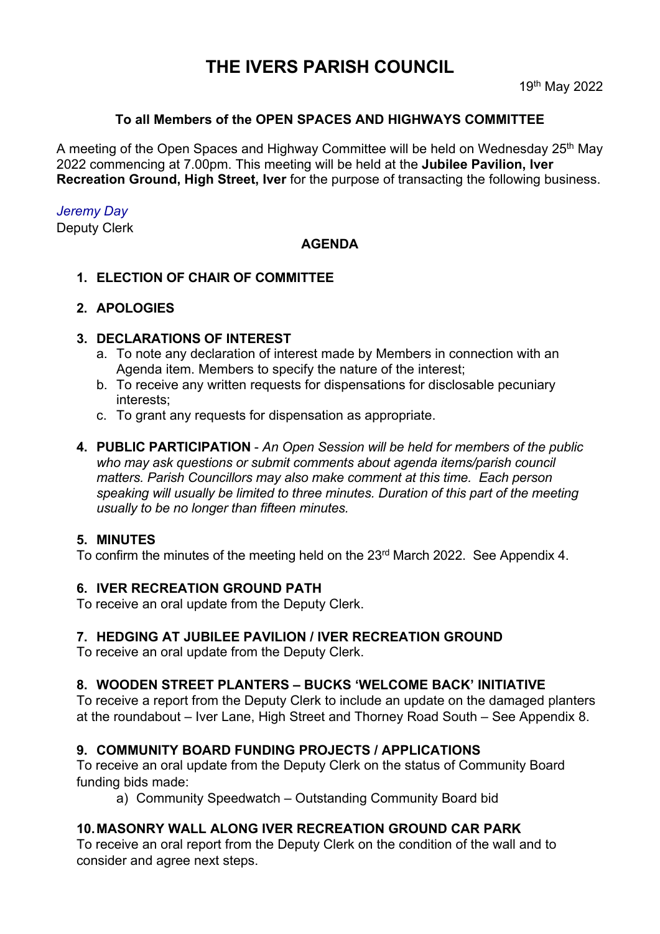# **THE IVERS PARISH COUNCIL**

### **To all Members of the OPEN SPACES AND HIGHWAYS COMMITTEE**

A meeting of the Open Spaces and Highway Committee will be held on Wednesday 25<sup>th</sup> May 2022 commencing at 7.00pm. This meeting will be held at the **Jubilee Pavilion, Iver Recreation Ground, High Street, Iver** for the purpose of transacting the following business.

### *Jeremy Day*

Deputy Clerk

### **AGENDA**

**1. ELECTION OF CHAIR OF COMMITTEE**

### **2. APOLOGIES**

### **3. DECLARATIONS OF INTEREST**

- a. To note any declaration of interest made by Members in connection with an Agenda item. Members to specify the nature of the interest;
- b. To receive any written requests for dispensations for disclosable pecuniary interests;
- c. To grant any requests for dispensation as appropriate.
- **4. PUBLIC PARTICIPATION**  *An Open Session will be held for members of the public who may ask questions or submit comments about agenda items/parish council matters. Parish Councillors may also make comment at this time. Each person speaking will usually be limited to three minutes. Duration of this part of the meeting usually to be no longer than fifteen minutes.*

### **5. MINUTES**

To confirm the minutes of the meeting held on the 23<sup>rd</sup> March 2022. See Appendix 4.

### **6. IVER RECREATION GROUND PATH**

To receive an oral update from the Deputy Clerk.

### **7. HEDGING AT JUBILEE PAVILION / IVER RECREATION GROUND**

To receive an oral update from the Deputy Clerk.

### **8. WOODEN STREET PLANTERS – BUCKS 'WELCOME BACK' INITIATIVE**

To receive a report from the Deputy Clerk to include an update on the damaged planters at the roundabout – Iver Lane, High Street and Thorney Road South – See Appendix 8.

### **9. COMMUNITY BOARD FUNDING PROJECTS / APPLICATIONS**

To receive an oral update from the Deputy Clerk on the status of Community Board funding bids made:

a) Community Speedwatch – Outstanding Community Board bid

### **10.MASONRY WALL ALONG IVER RECREATION GROUND CAR PARK**

To receive an oral report from the Deputy Clerk on the condition of the wall and to consider and agree next steps.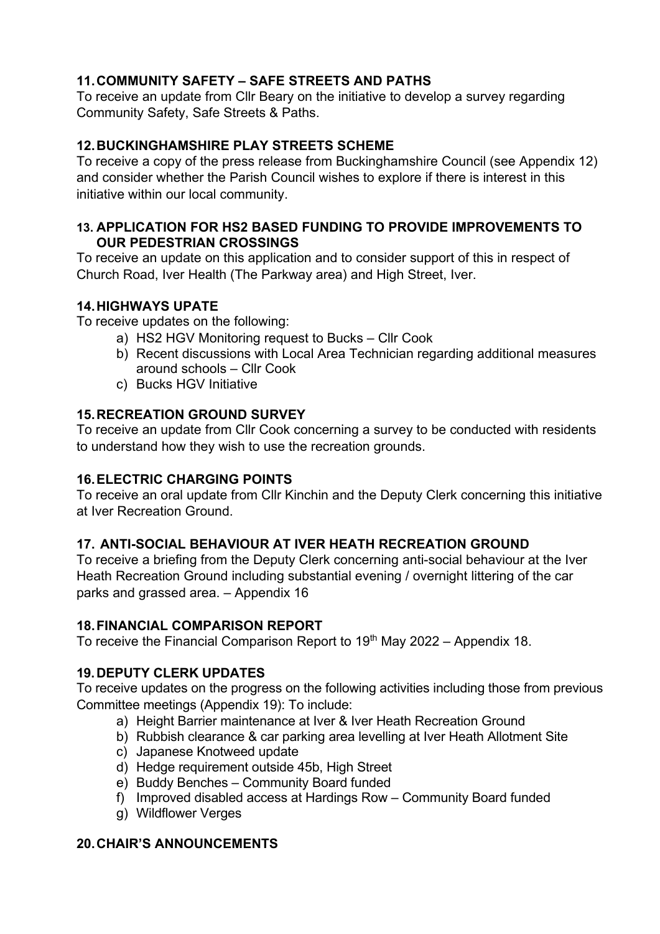# **11. COMMUNITY SAFETY – SAFE STREETS AND PATHS**

To receive an update from Cllr Beary on the initiative to develop a survey regarding Community Safety, Safe Streets & Paths.

# **12.BUCKINGHAMSHIRE PLAY STREETS SCHEME**

To receive a copy of the press release from Buckinghamshire Council (see Appendix 12) and consider whether the Parish Council wishes to explore if there is interest in this initiative within our local community.

### **13. APPLICATION FOR HS2 BASED FUNDING TO PROVIDE IMPROVEMENTS TO OUR PEDESTRIAN CROSSINGS**

To receive an update on this application and to consider support of this in respect of Church Road, Iver Health (The Parkway area) and High Street, Iver.

# **14.HIGHWAYS UPATE**

To receive updates on the following:

- a) HS2 HGV Monitoring request to Bucks Cllr Cook
- b) Recent discussions with Local Area Technician regarding additional measures around schools – Cllr Cook
- c) Bucks HGV Initiative

# **15.RECREATION GROUND SURVEY**

To receive an update from Cllr Cook concerning a survey to be conducted with residents to understand how they wish to use the recreation grounds.

# **16.ELECTRIC CHARGING POINTS**

To receive an oral update from Cllr Kinchin and the Deputy Clerk concerning this initiative at Iver Recreation Ground.

# **17. ANTI-SOCIAL BEHAVIOUR AT IVER HEATH RECREATION GROUND**

To receive a briefing from the Deputy Clerk concerning anti-social behaviour at the Iver Heath Recreation Ground including substantial evening / overnight littering of the car parks and grassed area. – Appendix 16

# **18.FINANCIAL COMPARISON REPORT**

To receive the Financial Comparison Report to  $19<sup>th</sup>$  May 2022 – Appendix 18.

# **19.DEPUTY CLERK UPDATES**

To receive updates on the progress on the following activities including those from previous Committee meetings (Appendix 19): To include:

- a) Height Barrier maintenance at Iver & Iver Heath Recreation Ground
- b) Rubbish clearance & car parking area levelling at Iver Heath Allotment Site
- c) Japanese Knotweed update
- d) Hedge requirement outside 45b, High Street
- e) Buddy Benches Community Board funded
- f) Improved disabled access at Hardings Row Community Board funded
- g) Wildflower Verges

# **20.CHAIR'S ANNOUNCEMENTS**